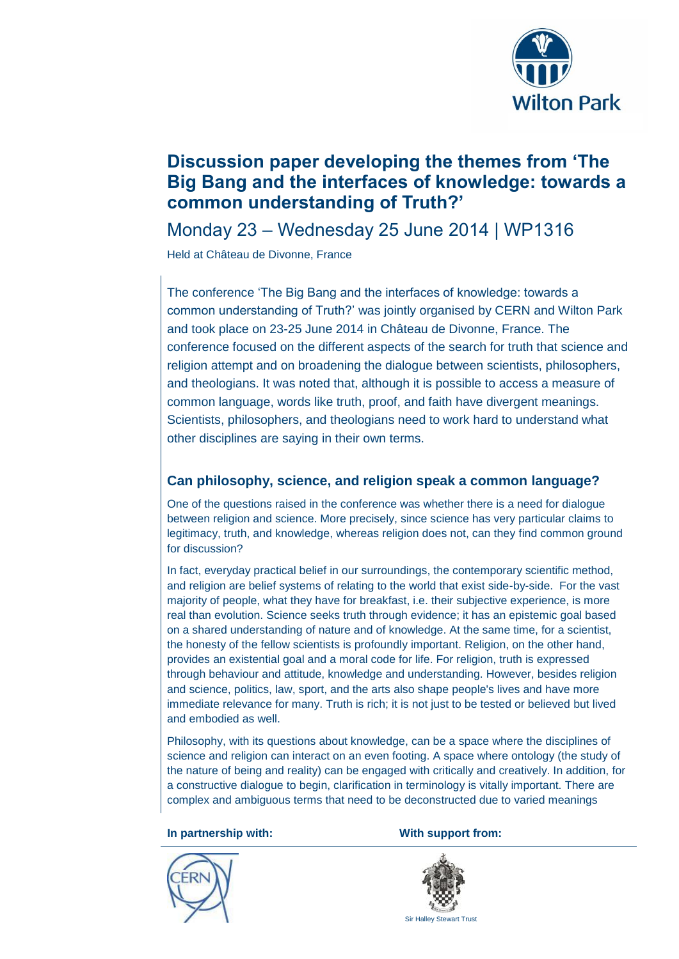

# **Discussion paper developing the themes from 'The Big Bang and the interfaces of knowledge: towards a common understanding of Truth?'**

Monday 23 – Wednesday 25 June 2014 | WP1316

Held at Château de Divonne, France

The conference 'The Big Bang and the interfaces of knowledge: towards a common understanding of Truth?' was jointly organised by CERN and Wilton Park and took place on 23-25 June 2014 in Château de Divonne, France. The conference focused on the different aspects of the search for truth that science and religion attempt and on broadening the dialogue between scientists, philosophers, and theologians. It was noted that, although it is possible to access a measure of common language, words like truth, proof, and faith have divergent meanings. Scientists, philosophers, and theologians need to work hard to understand what other disciplines are saying in their own terms.

# **Can philosophy, science, and religion speak a common language?**

One of the questions raised in the conference was whether there is a need for dialogue between religion and science. More precisely, since science has very particular claims to legitimacy, truth, and knowledge, whereas religion does not, can they find common ground for discussion?

In fact, everyday practical belief in our surroundings, the contemporary scientific method, and religion are belief systems of relating to the world that exist side-by-side. For the vast majority of people, what they have for breakfast, i.e. their subjective experience, is more real than evolution. Science seeks truth through evidence; it has an epistemic goal based on a shared understanding of nature and of knowledge. At the same time, for a scientist, the honesty of the fellow scientists is profoundly important. Religion, on the other hand, provides an existential goal and a moral code for life. For religion, truth is expressed through behaviour and attitude, knowledge and understanding. However, besides religion and science, politics, law, sport, and the arts also shape people's lives and have more immediate relevance for many. Truth is rich; it is not just to be tested or believed but lived and embodied as well.

Philosophy, with its questions about knowledge, can be a space where the disciplines of science and religion can interact on an even footing. A space where ontology (the study of the nature of being and reality) can be engaged with critically and creatively. In addition, for a constructive dialogue to begin, clarification in terminology is vitally important. There are complex and ambiguous terms that need to be deconstructed due to varied meanings

**In partnership with: With support from:**



Sir Halley Stewart Trust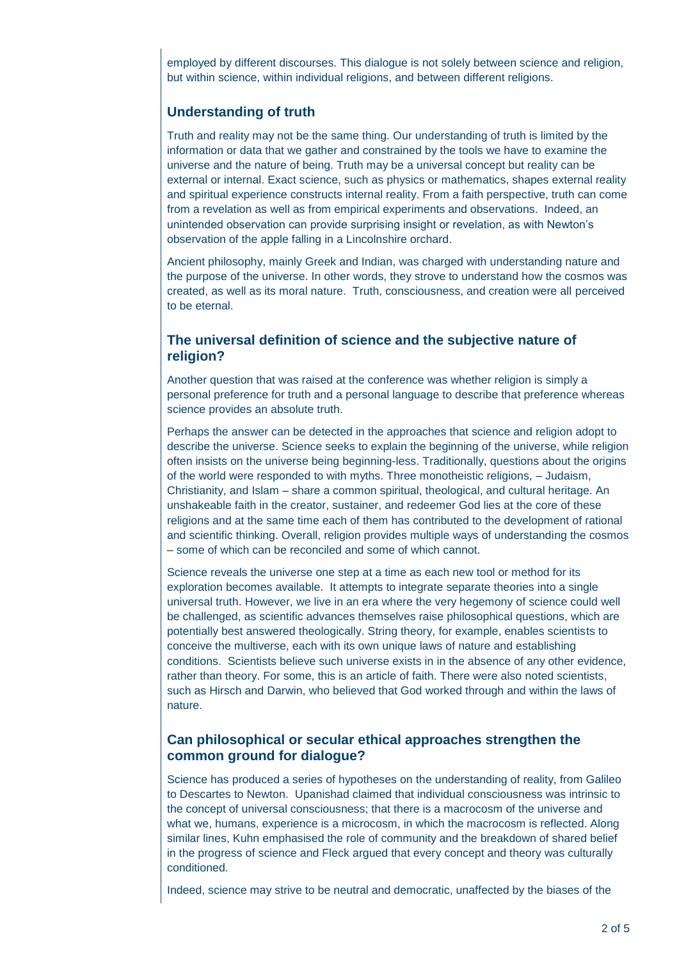employed by different discourses. This dialogue is not solely between science and religion, but within science, within individual religions, and between different religions.

# **Understanding of truth**

Truth and reality may not be the same thing. Our understanding of truth is limited by the information or data that we gather and constrained by the tools we have to examine the universe and the nature of being. Truth may be a universal concept but reality can be external or internal. Exact science, such as physics or mathematics, shapes external reality and spiritual experience constructs internal reality. From a faith perspective, truth can come from a revelation as well as from empirical experiments and observations. Indeed, an unintended observation can provide surprising insight or revelation, as with Newton's observation of the apple falling in a Lincolnshire orchard.

Ancient philosophy, mainly Greek and Indian, was charged with understanding nature and the purpose of the universe. In other words, they strove to understand how the cosmos was created, as well as its moral nature. Truth, consciousness, and creation were all perceived to be eternal.

### **The universal definition of science and the subjective nature of religion?**

Another question that was raised at the conference was whether religion is simply a personal preference for truth and a personal language to describe that preference whereas science provides an absolute truth.

Perhaps the answer can be detected in the approaches that science and religion adopt to describe the universe. Science seeks to explain the beginning of the universe, while religion often insists on the universe being beginning-less. Traditionally, questions about the origins of the world were responded to with myths. Three monotheistic religions, – Judaism, Christianity, and Islam – share a common spiritual, theological, and cultural heritage. An unshakeable faith in the creator, sustainer, and redeemer God lies at the core of these religions and at the same time each of them has contributed to the development of rational and scientific thinking. Overall, religion provides multiple ways of understanding the cosmos – some of which can be reconciled and some of which cannot.

Science reveals the universe one step at a time as each new tool or method for its exploration becomes available. It attempts to integrate separate theories into a single universal truth. However, we live in an era where the very hegemony of science could well be challenged, as scientific advances themselves raise philosophical questions, which are potentially best answered theologically. String theory, for example, enables scientists to conceive the multiverse, each with its own unique laws of nature and establishing conditions. Scientists believe such universe exists in in the absence of any other evidence, rather than theory. For some, this is an article of faith. There were also noted scientists, such as Hirsch and Darwin, who believed that God worked through and within the laws of nature.

#### **Can philosophical or secular ethical approaches strengthen the common ground for dialogue?**

Science has produced a series of hypotheses on the understanding of reality, from Galileo to Descartes to Newton. Upanishad claimed that individual consciousness was intrinsic to the concept of universal consciousness; that there is a macrocosm of the universe and what we, humans, experience is a microcosm, in which the macrocosm is reflected. Along similar lines, Kuhn emphasised the role of community and the breakdown of shared belief in the progress of science and Fleck argued that every concept and theory was culturally conditioned.

Indeed, science may strive to be neutral and democratic, unaffected by the biases of the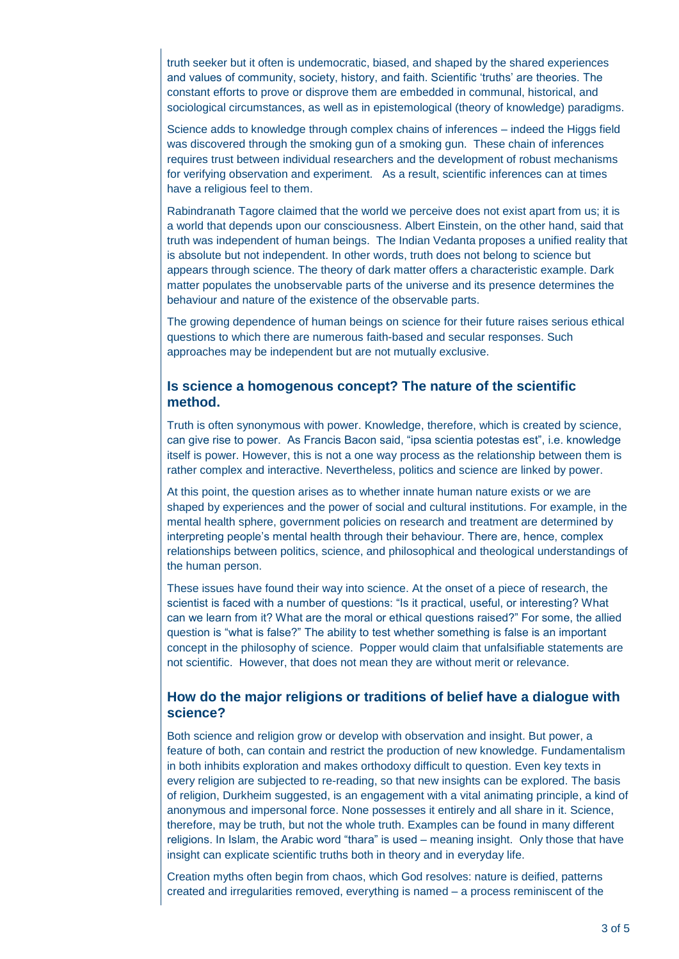truth seeker but it often is undemocratic, biased, and shaped by the shared experiences and values of community, society, history, and faith. Scientific 'truths' are theories. The constant efforts to prove or disprove them are embedded in communal, historical, and sociological circumstances, as well as in epistemological (theory of knowledge) paradigms.

Science adds to knowledge through complex chains of inferences – indeed the Higgs field was discovered through the smoking gun of a smoking gun. These chain of inferences requires trust between individual researchers and the development of robust mechanisms for verifying observation and experiment. As a result, scientific inferences can at times have a religious feel to them.

Rabindranath Tagore claimed that the world we perceive does not exist apart from us; it is a world that depends upon our consciousness. Albert Einstein, on the other hand, said that truth was independent of human beings. The Indian Vedanta proposes a unified reality that is absolute but not independent. In other words, truth does not belong to science but appears through science. The theory of dark matter offers a characteristic example. Dark matter populates the unobservable parts of the universe and its presence determines the behaviour and nature of the existence of the observable parts.

The growing dependence of human beings on science for their future raises serious ethical questions to which there are numerous faith-based and secular responses. Such approaches may be independent but are not mutually exclusive.

#### **Is science a homogenous concept? The nature of the scientific method.**

Truth is often synonymous with power. Knowledge, therefore, which is created by science, can give rise to power. As Francis Bacon said, "ipsa scientia potestas est", i.e. knowledge itself is power. However, this is not a one way process as the relationship between them is rather complex and interactive. Nevertheless, politics and science are linked by power.

At this point, the question arises as to whether innate human nature exists or we are shaped by experiences and the power of social and cultural institutions. For example, in the mental health sphere, government policies on research and treatment are determined by interpreting people's mental health through their behaviour. There are, hence, complex relationships between politics, science, and philosophical and theological understandings of the human person.

These issues have found their way into science. At the onset of a piece of research, the scientist is faced with a number of questions: "Is it practical, useful, or interesting? What can we learn from it? What are the moral or ethical questions raised?" For some, the allied question is "what is false?" The ability to test whether something is false is an important concept in the philosophy of science. Popper would claim that unfalsifiable statements are not scientific. However, that does not mean they are without merit or relevance.

#### **How do the major religions or traditions of belief have a dialogue with science?**

Both science and religion grow or develop with observation and insight. But power, a feature of both, can contain and restrict the production of new knowledge. Fundamentalism in both inhibits exploration and makes orthodoxy difficult to question. Even key texts in every religion are subjected to re-reading, so that new insights can be explored. The basis of religion, Durkheim suggested, is an engagement with a vital animating principle, a kind of anonymous and impersonal force. None possesses it entirely and all share in it. Science, therefore, may be truth, but not the whole truth. Examples can be found in many different religions. In Islam, the Arabic word "thara" is used – meaning insight. Only those that have insight can explicate scientific truths both in theory and in everyday life.

Creation myths often begin from chaos, which God resolves: nature is deified, patterns created and irregularities removed, everything is named – a process reminiscent of the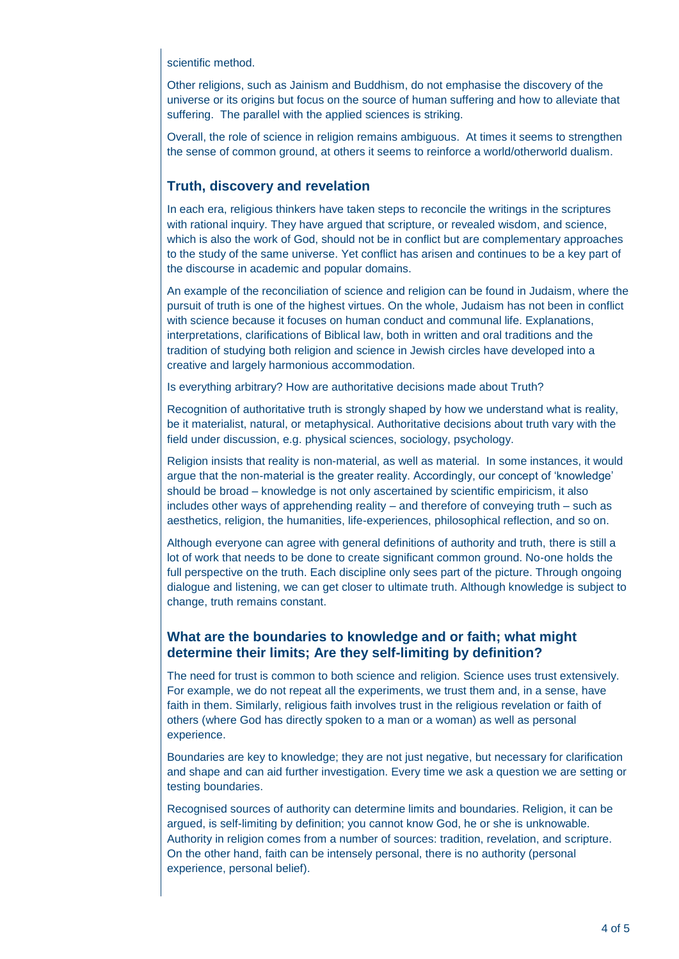#### scientific method.

Other religions, such as Jainism and Buddhism, do not emphasise the discovery of the universe or its origins but focus on the source of human suffering and how to alleviate that suffering. The parallel with the applied sciences is striking.

Overall, the role of science in religion remains ambiguous. At times it seems to strengthen the sense of common ground, at others it seems to reinforce a world/otherworld dualism.

### **Truth, discovery and revelation**

In each era, religious thinkers have taken steps to reconcile the writings in the scriptures with rational inquiry. They have argued that scripture, or revealed wisdom, and science, which is also the work of God, should not be in conflict but are complementary approaches to the study of the same universe. Yet conflict has arisen and continues to be a key part of the discourse in academic and popular domains.

An example of the reconciliation of science and religion can be found in Judaism, where the pursuit of truth is one of the highest virtues. On the whole, Judaism has not been in conflict with science because it focuses on human conduct and communal life. Explanations, interpretations, clarifications of Biblical law, both in written and oral traditions and the tradition of studying both religion and science in Jewish circles have developed into a creative and largely harmonious accommodation.

Is everything arbitrary? How are authoritative decisions made about Truth?

Recognition of authoritative truth is strongly shaped by how we understand what is reality, be it materialist, natural, or metaphysical. Authoritative decisions about truth vary with the field under discussion, e.g. physical sciences, sociology, psychology.

Religion insists that reality is non-material, as well as material. In some instances, it would argue that the non-material is the greater reality. Accordingly, our concept of 'knowledge' should be broad – knowledge is not only ascertained by scientific empiricism, it also includes other ways of apprehending reality – and therefore of conveying truth – such as aesthetics, religion, the humanities, life-experiences, philosophical reflection, and so on.

Although everyone can agree with general definitions of authority and truth, there is still a lot of work that needs to be done to create significant common ground. No-one holds the full perspective on the truth. Each discipline only sees part of the picture. Through ongoing dialogue and listening, we can get closer to ultimate truth. Although knowledge is subject to change, truth remains constant.

# **What are the boundaries to knowledge and or faith; what might determine their limits; Are they self-limiting by definition?**

The need for trust is common to both science and religion. Science uses trust extensively. For example, we do not repeat all the experiments, we trust them and, in a sense, have faith in them. Similarly, religious faith involves trust in the religious revelation or faith of others (where God has directly spoken to a man or a woman) as well as personal experience.

Boundaries are key to knowledge; they are not just negative, but necessary for clarification and shape and can aid further investigation. Every time we ask a question we are setting or testing boundaries.

Recognised sources of authority can determine limits and boundaries. Religion, it can be argued, is self-limiting by definition; you cannot know God, he or she is unknowable. Authority in religion comes from a number of sources: tradition, revelation, and scripture. On the other hand, faith can be intensely personal, there is no authority (personal experience, personal belief).